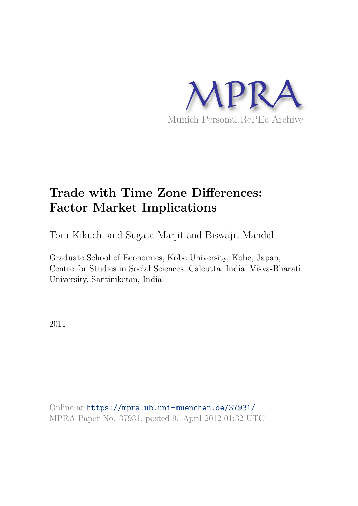

# Trade with Time Zone Differences: Factor Market Implications

Toru Kikuchi and Sugata Marjit and Biswajit Mandal

Graduate School of Economics, Kobe University, Kobe, Japan, Centre for Studies in Social Sciences, Calcutta, India, Visva-Bharati University, Santiniketan, India

2011

Online at <https://mpra.ub.uni-muenchen.de/37931/> MPRA Paper No. 37931, posted 9. April 2012 01:32 UTC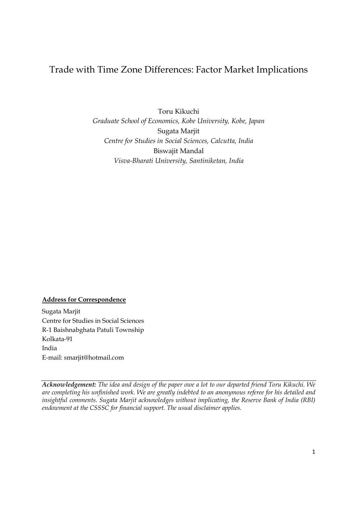# Trade with Time Zone Differences: Factor Market Implications

Toru Kikuchi *Graduate School of Economics, Kobe University, Kobe, Japan*  Sugata Marjit *Centre for Studies in Social Sciences, Calcutta, India*  Biswajit Mandal *Visva-Bharati University, Santiniketan, India* 

## **Address for Correspondence**

Sugata Marjit Centre for Studies in Social Sciences R-1 Baishnabghata Patuli Township Kolkata-91 India E-mail: smarjit@hotmail.com

*Acknowledgement: The idea and design of the paper owe a lot to our departed friend Toru Kikuchi. We are completing his unfinished work. We are greatly indebted to an anonymous referee for his detailed and insightful comments. Sugata Marjit acknowledges without implicating, the Reserve Bank of India (RBI) endowment at the CSSSC for financial support. The usual disclaimer applies.*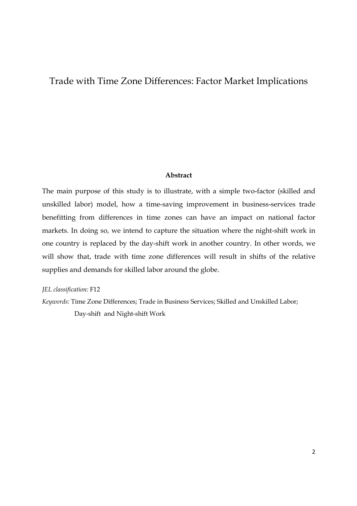# Trade with Time Zone Differences: Factor Market Implications

#### **Abstract**

The main purpose of this study is to illustrate, with a simple two-factor (skilled and unskilled labor) model, how a time-saving improvement in business-services trade benefitting from differences in time zones can have an impact on national factor markets. In doing so, we intend to capture the situation where the night-shift work in one country is replaced by the day-shift work in another country. In other words, we will show that, trade with time zone differences will result in shifts of the relative supplies and demands for skilled labor around the globe.

*JEL classification:* F12

*Keywords:* Time Zone Differences; Trade in Business Services; Skilled and Unskilled Labor; Day-shift and Night-shift Work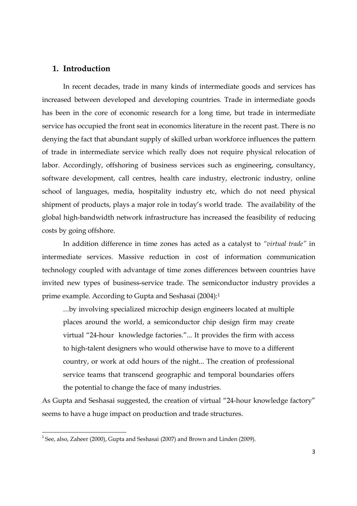# **1. Introduction**

In recent decades, trade in many kinds of intermediate goods and services has increased between developed and developing countries. Trade in intermediate goods has been in the core of economic research for a long time, but trade in intermediate service has occupied the front seat in economics literature in the recent past. There is no denying the fact that abundant supply of skilled urban workforce influences the pattern of trade in intermediate service which really does not require physical relocation of labor. Accordingly, offshoring of business services such as engineering, consultancy, software development, call centres, health care industry, electronic industry, online school of languages, media, hospitality industry etc, which do not need physical shipment of products, plays a major role in today's world trade. The availability of the global high-bandwidth network infrastructure has increased the feasibility of reducing costs by going offshore.

In addition difference in time zones has acted as a catalyst to *"virtual trade"* in intermediate services. Massive reduction in cost of information communication technology coupled with advantage of time zones differences between countries have invited new types of business-service trade. The semiconductor industry provides a prime example. According to Gupta and Seshasai (2004):<sup>1</sup>

...by involving specialized microchip design engineers located at multiple places around the world, a semiconductor chip design firm may create virtual "24-hour knowledge factories."... It provides the firm with access to high-talent designers who would otherwise have to move to a different country, or work at odd hours of the night... The creation of professional service teams that transcend geographic and temporal boundaries offers the potential to change the face of many industries.

As Gupta and Seshasai suggested, the creation of virtual "24-hour knowledge factory" seems to have a huge impact on production and trade structures.

 $1$  See, also, Zaheer (2000), Gupta and Seshasai (2007) and Brown and Linden (2009).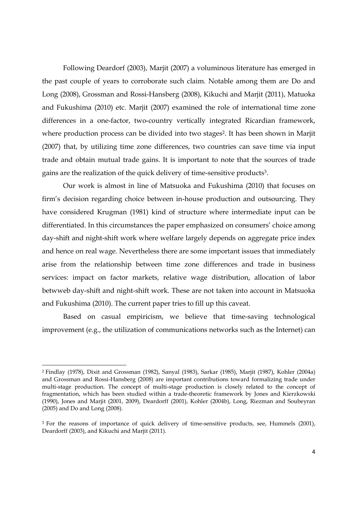Following Deardorf (2003), Marjit (2007) a voluminous literature has emerged in the past couple of years to corroborate such claim. Notable among them are Do and Long (2008), Grossman and Rossi-Hansberg (2008), Kikuchi and Marjit (2011), Matuoka and Fukushima (2010) etc. Marjit (2007) examined the role of international time zone differences in a one-factor, two-country vertically integrated Ricardian framework, where production process can be divided into two stages<sup>2</sup>. It has been shown in Marjit (2007) that, by utilizing time zone differences, two countries can save time via input trade and obtain mutual trade gains. It is important to note that the sources of trade gains are the realization of the quick delivery of time-sensitive products<sup>3</sup> .

Our work is almost in line of Matsuoka and Fukushima (2010) that focuses on firm's decision regarding choice between in-house production and outsourcing. They have considered Krugman (1981) kind of structure where intermediate input can be differentiated. In this circumstances the paper emphasized on consumers' choice among day-shift and night-shift work where welfare largely depends on aggregate price index and hence on real wage. Nevertheless there are some important issues that immediately arise from the relationship between time zone differences and trade in business services: impact on factor markets, relative wage distribution, allocation of labor betwweb day-shift and night-shift work. These are not taken into account in Matsuoka and Fukushima (2010). The current paper tries to fill up this caveat.

Based on casual empiricism, we believe that time-saving technological improvement (e.g., the utilization of communications networks such as the Internet) can

<sup>2</sup> Findlay (1978), Dixit and Grossman (1982), Sanyal (1983), Sarkar (1985), Marjit (1987), Kohler (2004a) and Grossman and Rossi-Hansberg (2008) are important contributions toward formalizing trade under multi-stage production. The concept of multi-stage production is closely related to the concept of fragmentation, which has been studied within a trade-theoretic framework by Jones and Kierzkowski (1990), Jones and Marjit (2001, 2009), Deardorff (2001), Kohler (2004b), Long, Riezman and Soubeyran (2005) and Do and Long (2008).

<sup>&</sup>lt;sup>3</sup> For the reasons of importance of quick delivery of time-sensitive products, see, Hummels (2001), Deardorff (2003), and Kikuchi and Marjit (2011).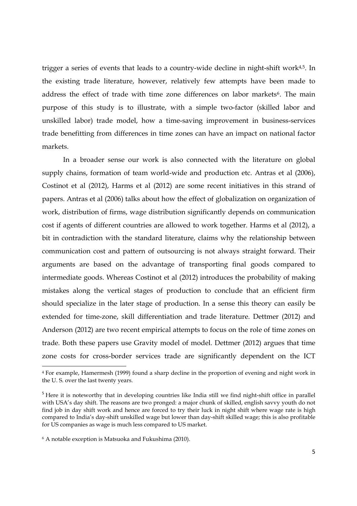trigger a series of events that leads to a country-wide decline in night-shift work<sup>4,5</sup>. In the existing trade literature, however, relatively few attempts have been made to address the effect of trade with time zone differences on labor markets<sup>6</sup>. The main purpose of this study is to illustrate, with a simple two-factor (skilled labor and unskilled labor) trade model, how a time-saving improvement in business-services trade benefitting from differences in time zones can have an impact on national factor markets.

In a broader sense our work is also connected with the literature on global supply chains, formation of team world-wide and production etc. Antras et al (2006), Costinot et al (2012), Harms et al (2012) are some recent initiatives in this strand of papers. Antras et al (2006) talks about how the effect of globalization on organization of work, distribution of firms, wage distribution significantly depends on communication cost if agents of different countries are allowed to work together. Harms et al (2012), a bit in contradiction with the standard literature, claims why the relationship between communication cost and pattern of outsourcing is not always straight forward. Their arguments are based on the advantage of transporting final goods compared to intermediate goods. Whereas Costinot et al (2012) introduces the probability of making mistakes along the vertical stages of production to conclude that an efficient firm should specialize in the later stage of production. In a sense this theory can easily be extended for time-zone, skill differentiation and trade literature. Dettmer (2012) and Anderson (2012) are two recent empirical attempts to focus on the role of time zones on trade. Both these papers use Gravity model of model. Dettmer (2012) argues that time zone costs for cross-border services trade are significantly dependent on the ICT

 $\overline{a}$ 

<sup>4</sup> For example, Hamermesh (1999) found a sharp decline in the proportion of evening and night work in the U. S. over the last twenty years.

<sup>&</sup>lt;sup>5</sup> Here it is noteworthy that in developing countries like India still we find night-shift office in parallel with USA's day shift. The reasons are two pronged: a major chunk of skilled, english savvy youth do not find job in day shift work and hence are forced to try their luck in night shift where wage rate is high compared to India's day-shift unskilled wage but lower than day-shift skilled wage; this is also profitable for US companies as wage is much less compared to US market.

<sup>6</sup> A notable exception is Matsuoka and Fukushima (2010).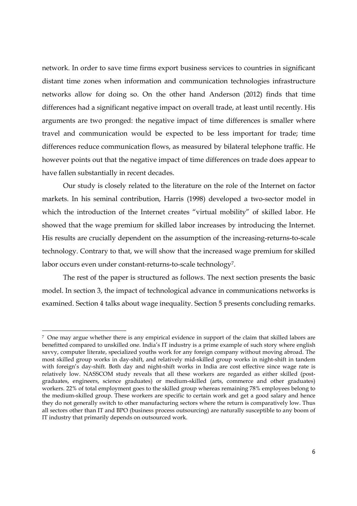network. In order to save time firms export business services to countries in significant distant time zones when information and communication technologies infrastructure networks allow for doing so. On the other hand Anderson (2012) finds that time differences had a significant negative impact on overall trade, at least until recently. His arguments are two pronged: the negative impact of time differences is smaller where travel and communication would be expected to be less important for trade; time differences reduce communication flows, as measured by bilateral telephone traffic. He however points out that the negative impact of time differences on trade does appear to have fallen substantially in recent decades.

Our study is closely related to the literature on the role of the Internet on factor markets. In his seminal contribution, Harris (1998) developed a two-sector model in which the introduction of the Internet creates "virtual mobility" of skilled labor. He showed that the wage premium for skilled labor increases by introducing the Internet. His results are crucially dependent on the assumption of the increasing-returns-to-scale technology. Contrary to that, we will show that the increased wage premium for skilled labor occurs even under constant-returns-to-scale technology<sup>7</sup>.

The rest of the paper is structured as follows. The next section presents the basic model. In section 3, the impact of technological advance in communications networks is examined. Section 4 talks about wage inequality. Section 5 presents concluding remarks.

<sup>7</sup> One may argue whether there is any empirical evidence in support of the claim that skilled labors are benefitted compared to unskilled one. India's IT industry is a prime example of such story where english savvy, computer literate, specialized youths work for any foreign company without moving abroad. The most skilled group works in day-shift, and relatively mid-skilled group works in night-shift in tandem with foreign's day-shift. Both day and night-shift works in India are cost effective since wage rate is relatively low. NASSCOM study reveals that all these workers are regarded as either skilled (postgraduates, engineers, science graduates) or medium-skilled (arts, commerce and other graduates) workers. 22% of total employment goes to the skilled group whereas remaining 78% employees belong to the medium-skilled group. These workers are specific to certain work and get a good salary and hence they do not generally switch to other manufacturing sectors where the return is comparatively low. Thus all sectors other than IT and BPO (business process outsourcing) are naturally susceptible to any boom of IT industry that primarily depends on outsourced work.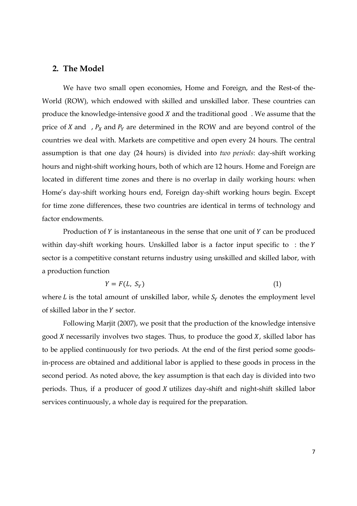## **2. The Model**

We have two small open economies, Home and Foreign, and the Rest-of the-World (ROW), which endowed with skilled and unskilled labor. These countries can produce the knowledge-intensive good  $X$  and the traditional good. We assume that the price of *X* and ,  $P_X$  and  $P_Y$  are determined in the ROW and are beyond control of the countries we deal with. Markets are competitive and open every 24 hours. The central assumption is that one day (24 hours) is divided into *two periods*: day-shift working hours and night-shift working hours, both of which are 12 hours. Home and Foreign are located in different time zones and there is no overlap in daily working hours: when Home's day-shift working hours end, Foreign day-shift working hours begin. Except for time zone differences, these two countries are identical in terms of technology and factor endowments.

Production of  $Y$  is instantaneous in the sense that one unit of  $Y$  can be produced within day-shift working hours. Unskilled labor is a factor input specific to  $:$  the  $Y$ sector is a competitive constant returns industry using unskilled and skilled labor, with a production function

$$
Y = F(L, S_Y) \tag{1}
$$

where *L* is the total amount of unskilled labor, while  $S<sub>Y</sub>$  denotes the employment level of skilled labor in the *Y* sector.

Following Marjit (2007), we posit that the production of the knowledge intensive good  $X$  necessarily involves two stages. Thus, to produce the good  $X$ , skilled labor has to be applied continuously for two periods. At the end of the first period some goodsin-process are obtained and additional labor is applied to these goods in process in the second period. As noted above, the key assumption is that each day is divided into two periods. Thus, if a producer of good  $X$  utilizes day-shift and night-shift skilled labor services continuously, a whole day is required for the preparation.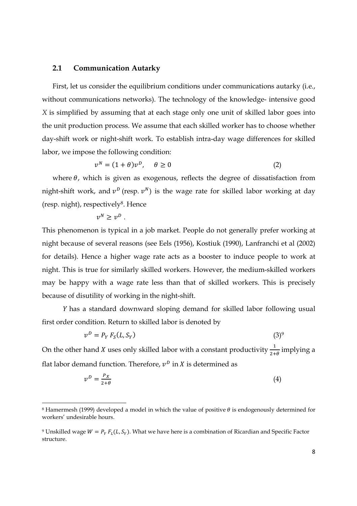#### **2.1 Communication Autarky**

First, let us consider the equilibrium conditions under communications autarky (i.e., without communications networks). The technology of the knowledge- intensive good *X* is simplified by assuming that at each stage only one unit of skilled labor goes into the unit production process. We assume that each skilled worker has to choose whether day-shift work or night-shift work. To establish intra-day wage differences for skilled labor, we impose the following condition:

$$
v^N = (1 + \theta)v^D, \quad \theta \ge 0 \tag{2}
$$

where  $\theta$ , which is given as exogenous, reflects the degree of dissatisfaction from night-shift work, and  $v^D$  (resp.  $v^N$ ) is the wage rate for skilled labor working at day (resp. night), respectively<sup>8</sup>. Hence

$$
v^N \ge v^D.
$$

l,

This phenomenon is typical in a job market. People do not generally prefer working at night because of several reasons (see Eels (1956), Kostiuk (1990), Lanfranchi et al (2002) for details). Hence a higher wage rate acts as a booster to induce people to work at night. This is true for similarly skilled workers. However, the medium-skilled workers may be happy with a wage rate less than that of skilled workers. This is precisely because of disutility of working in the night-shift.

 has a standard downward sloping demand for skilled labor following usual first order condition. Return to skilled labor is denoted by

$$
v^D = P_Y F_S(L, S_Y) \tag{3}
$$

On the other hand *X* uses only skilled labor with a constant productivity  $\frac{1}{2+\theta}$  implying a flat labor demand function. Therefore,  $v^D$  in X is determined as

$$
v^D = \frac{P_X}{2 + \theta} \tag{4}
$$

 $^8$ Hamermesh (1999) developed a model in which the value of positive  $\theta$  is endogenously determined for workers' undesirable hours.

<sup>&</sup>lt;sup>9</sup> Unskilled wage  $W = P_Y F_L(L,S_Y)$ . What we have here is a combination of Ricardian and Specific Factor structure.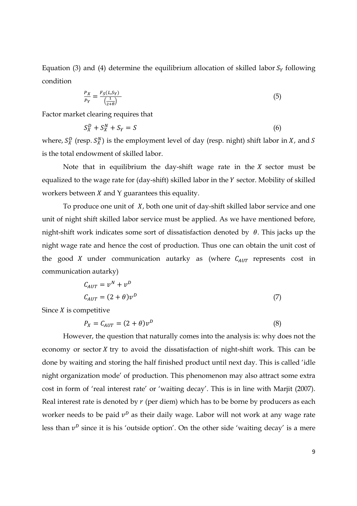Equation (3) and (4) determine the equilibrium allocation of skilled labor  $S<sub>Y</sub>$  following condition

$$
\frac{P_X}{P_Y} = \frac{F_S(L, S_Y)}{\left(\frac{1}{2+\theta}\right)}\tag{5}
$$

Factor market clearing requires that

$$
S_X^D + S_X^N + S_Y = S \tag{6}
$$

where,  $S_X^D$  (resp.  $S_X^N$ ) is the employment level of day (resp. night) shift labor in X, and S is the total endowment of skilled labor.

Note that in equilibrium the day-shift wage rate in the  $X$  sector must be equalized to the wage rate for (day-shift) skilled labor in the *Y* sector. Mobility of skilled workers between  $X$  and  $Y$  guarantees this equality.

To produce one unit of  $X$ , both one unit of day-shift skilled labor service and one unit of night shift skilled labor service must be applied. As we have mentioned before, night-shift work indicates some sort of dissatisfaction denoted by  $\theta$ . This jacks up the night wage rate and hence the cost of production. Thus one can obtain the unit cost of the good *X* under communication autarky as (where  $C_{AUT}$  represents cost in communication autarky)

$$
C_{AUT} = v^N + v^D
$$
  

$$
C_{AUT} = (2 + \theta)v^D
$$
 (7)

Since  $X$  is competitive

$$
P_X = C_{AUT} = (2 + \theta)v^D \tag{8}
$$

However, the question that naturally comes into the analysis is: why does not the economy or sector  $X$  try to avoid the dissatisfaction of night-shift work. This can be done by waiting and storing the half finished product until next day. This is called 'idle night organization mode' of production. This phenomenon may also attract some extra cost in form of 'real interest rate' or 'waiting decay'. This is in line with Marjit (2007). Real interest rate is denoted by  $r$  (per diem) which has to be borne by producers as each worker needs to be paid  $v^{\textit{D}}$  as their daily wage. Labor will not work at any wage rate less than  $v^D$  since it is his 'outside option'. On the other side 'waiting decay' is a mere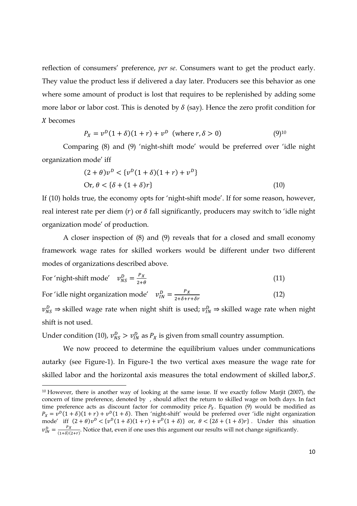reflection of consumers' preference, *per se*. Consumers want to get the product early. They value the product less if delivered a day later. Producers see this behavior as one where some amount of product is lost that requires to be replenished by adding some more labor or labor cost. This is denoted by  $\delta$  (say). Hence the zero profit condition for becomes

$$
P_X = v^D (1 + \delta)(1 + r) + v^D \text{ (where } r, \delta > 0)
$$
 (9)<sup>10</sup>

Comparing (8) and (9) 'night-shift mode' would be preferred over 'idle night organization mode' iff

$$
(2 + \theta)v^{D} < \{v^{D}(1 + \delta)(1 + r) + v^{D}\}\
$$
  
Or,  $\theta < {\delta + (1 + \delta)r}$  (10)

If (10) holds true, the economy opts for 'night-shift mode'. If for some reason, however, real interest rate per diem  $(r)$  or  $\delta$  fall significantly, producers may switch to 'idle night organization mode' of production.

 A closer inspection of (8) and (9) reveals that for a closed and small economy framework wage rates for skilled workers would be different under two different modes of organizations described above.

For 'night-shift mode' 
$$
v_{NS}^D = \frac{P_X}{2+\theta}
$$
 (11)

For 'idle night organization mode'  $v_{IN}^D = \frac{P_X}{2 + \delta + r + \delta r}$  (12)

 $v_{NS}^D \Rightarrow$  skilled wage rate when night shift is used;  $v_{IN}^D \Rightarrow$  skilled wage rate when night shift is not used.

Under condition (10),  $v_{NS}^D > v_{IN}^D$  as  $P_X$  is given from small country assumption.

l,

We now proceed to determine the equilibrium values under communications autarky (see Figure-1). In Figure-1 the two vertical axes measure the wage rate for skilled labor and the horizontal axis measures the total endowment of skilled labor, $S$ .

<sup>&</sup>lt;sup>10</sup> However, there is another way of looking at the same issue. If we exactly follow Marjit (2007), the concern of time preference, denoted by , should affect the return to skilled wage on both days. In fact time preference acts as discount factor for commodity price  $P_X$ . Equation (9) would be modified as  $P_X = v^D(1+\delta)(1+r) + v^D(1+\delta)$ . Then 'night-shift' would be preferred over 'idle night organization mode' iff  $(2 + \theta)v^D < {v^D(1 + \delta)(1 + r) + v^D(1 + \delta)}$  or,  $\theta < {2\delta + (1 + \delta)r}$ . Under this situation  $v_{IN}^D = \frac{P_X}{(1+\delta)(1+\delta)}$  $\frac{1}{(1+\delta)(2+r)}$ . Notice that, even if one uses this argument our results will not change significantly.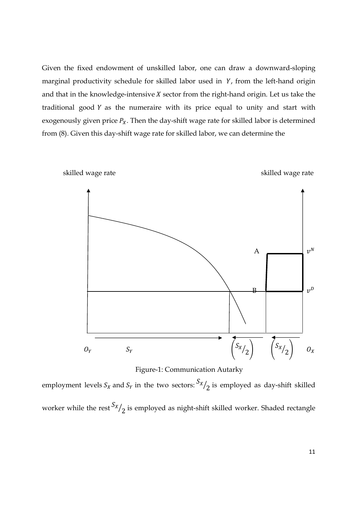Given the fixed endowment of unskilled labor, one can draw a downward-sloping marginal productivity schedule for skilled labor used in  $Y$ , from the left-hand origin and that in the knowledge-intensive  $X$  sector from the right-hand origin. Let us take the traditional good  $Y$  as the numeraire with its price equal to unity and start with exogenously given price  $P_X$ . Then the day-shift wage rate for skilled labor is determined from (8). Given this day-shift wage rate for skilled labor, we can determine the



Figure-1: Communication Autarky

employment levels  $S_X$  and  $S_Y$  in the two sectors:  $S_X/\gamma$  is employed as day-shift skilled worker while the rest  $\frac{S_X}{2}$  is employed as night-shift skilled worker. Shaded rectangle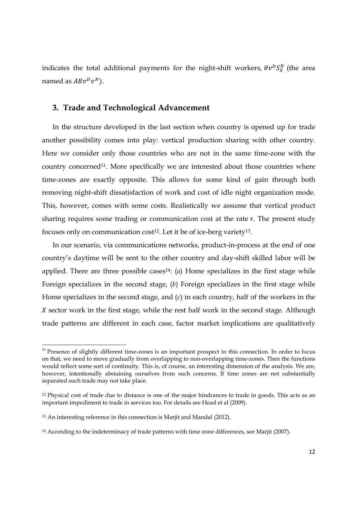indicates the total additional payments for the night-shift workers,  $\theta v^D S_X^N$  (the area named as  $ABv^Dv^N$ ).

#### **3. Trade and Technological Advancement**

In the structure developed in the last section when country is opened up for trade another possibility comes into play: vertical production sharing with other country. Here we consider only those countries who are not in the same time-zone with the country concerned<sup>11</sup>. More specifically we are interested about those countries where time-zones are exactly opposite. This allows for some kind of gain through both removing night-shift dissatisfaction of work and cost of idle night organization mode. This, however, comes with some costs. Realistically we assume that vertical product sharing requires some trading or communication cost at the rate  $\tau$ . The present study focuses only on communication cost<sup>12</sup>. Let it be of ice-berg variety<sup>13</sup>.

In our scenario, via communications networks, product-in-process at the end of one country's daytime will be sent to the other country and day-shift skilled labor will be applied. There are three possible cases<sup>14</sup>: (*a*) Home specializes in the first stage while Foreign specializes in the second stage, (*b*) Foreign specializes in the first stage while Home specializes in the second stage, and (*c*) in each country, half of the workers in the  $X$  sector work in the first stage, while the rest half work in the second stage. Although trade patterns are different in each case, factor market implications are qualitatively

<sup>&</sup>lt;sup>11</sup> Presence of slightly different time-zones is an important prospect in this connection. In order to focus on that, we need to move gradually from overlapping to non-overlapping time-zones. Then the functions would reflect some sort of continuity. This is, of course, an interesting dimension of the analysis. We are, however, intentionally abstaining ourselves from such concerns. If time zones are not substantially separated such trade may not take place.

<sup>&</sup>lt;sup>12</sup> Physical cost of trade due to distance is one of the major hindrances to trade in goods. This acts as an important impediment to trade in services too. For details see Head et al (2009).

<sup>13</sup> An interesting reference in this connection is Marjit and Mandal (2012).

<sup>&</sup>lt;sup>14</sup> According to the indeterminacy of trade patterns with time zone differences, see Mariit (2007).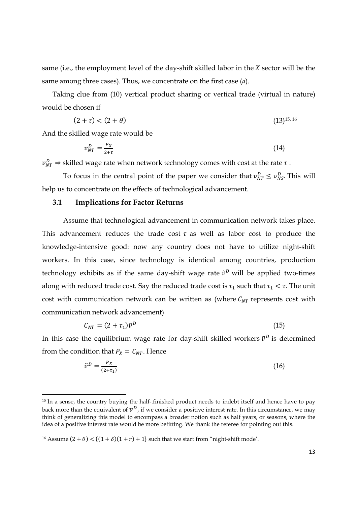same (i.e., the employment level of the day-shift skilled labor in the  $X$  sector will be the same among three cases). Thus, we concentrate on the first case (*a*).

Taking clue from (10) vertical product sharing or vertical trade (virtual in nature) would be chosen if

$$
(2 + \tau) < (2 + \theta) \tag{13)^{15,16}}
$$

And the skilled wage rate would be

l,

$$
v_{NT}^D = \frac{P_X}{2 + \tau} \tag{14}
$$

 $v_{NT}^D \Rightarrow$  skilled wage rate when network technology comes with cost at the rate  $\tau$ .

To focus in the central point of the paper we consider that  $v_{NT}^D \le v_{NS}^D$ . This will help us to concentrate on the effects of technological advancement.

#### **3.1 Implications for Factor Returns**

Assume that technological advancement in communication network takes place. This advancement reduces the trade cost  $\tau$  as well as labor cost to produce the knowledge-intensive good: now any country does not have to utilize night-shift workers. In this case, since technology is identical among countries, production technology exhibits as if the same day-shift wage rate  $\tilde{v}^D$  will be applied two-times along with reduced trade cost. Say the reduced trade cost is  $\tau_1$  such that  $\tau_1 < \tau$ . The unit cost with communication network can be written as (where  $C_{NT}$  represents cost with communication network advancement)

$$
C_{NT} = (2 + \tau_1)\tilde{v}^D \tag{15}
$$

In this case the equilibrium wage rate for day-shift skilled workers  $\tilde{v}^D$  is determined from the condition that  $P_X = C_{NT}$ . Hence

$$
\tilde{v}^D = \frac{P_X}{(2+\tau_1)}\tag{16}
$$

<sup>&</sup>lt;sup>15</sup> In a sense, the country buying the half-.finished product needs to indebt itself and hence have to pay back more than the equivalent of  $v^D$ , if we consider a positive interest rate. In this circumstance, we may think of generalizing this model to encompass a broader notion such as half years, or seasons, where the idea of a positive interest rate would be more befitting. We thank the referee for pointing out this.

<sup>&</sup>lt;sup>16</sup> Assume  $(2 + \theta) < \{(1 + \delta)(1 + r) + 1\}$  such that we start from "night-shift mode'.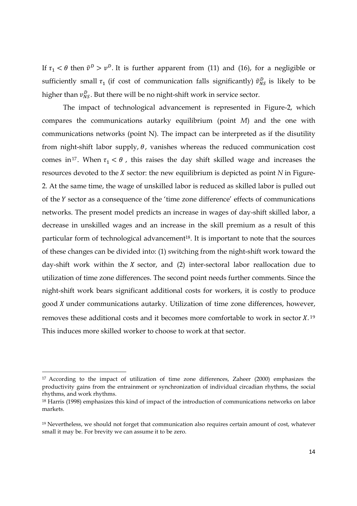If  $\tau_1 < \theta$  then  $\tilde{v}^D > v^D$ . It is further apparent from (11) and (16), for a negligible or sufficiently small  $\tau_1$  (if cost of communication falls significantly)  $\tilde{v}_{NS}^D$  is likely to be higher than  $v_{NS}^D$ . But there will be no night-shift work in service sector.

The impact of technological advancement is represented in Figure-2, which compares the communications autarky equilibrium (point *M*) and the one with communications networks (point N). The impact can be interpreted as if the disutility from night-shift labor supply,  $\theta$ , vanishes whereas the reduced communication cost comes in<sup>17</sup>. When  $\tau_1 < \theta$ , this raises the day shift skilled wage and increases the resources devoted to the  $X$  sector: the new equilibrium is depicted as point  $N$  in Figure-2. At the same time, the wage of unskilled labor is reduced as skilled labor is pulled out of the Y sector as a consequence of the 'time zone difference' effects of communications networks. The present model predicts an increase in wages of day-shift skilled labor, a decrease in unskilled wages and an increase in the skill premium as a result of this particular form of technological advancement<sup>18</sup>. It is important to note that the sources of these changes can be divided into: (1) switching from the night-shift work toward the day-shift work within the  $X$  sector, and (2) inter-sectoral labor reallocation due to utilization of time zone differences. The second point needs further comments. Since the night-shift work bears significant additional costs for workers, it is costly to produce good *X* under communications autarky. Utilization of time zone differences, however, removes these additional costs and it becomes more comfortable to work in sector  $X$ .<sup>19</sup> This induces more skilled worker to choose to work at that sector.

<sup>&</sup>lt;sup>17</sup> According to the impact of utilization of time zone differences, Zaheer (2000) emphasizes the productivity gains from the entrainment or synchronization of individual circadian rhythms, the social rhythms, and work rhythms.

<sup>18</sup> Harris (1998) emphasizes this kind of impact of the introduction of communications networks on labor markets.

<sup>19</sup> Nevertheless, we should not forget that communication also requires certain amount of cost, whatever small it may be. For brevity we can assume it to be zero.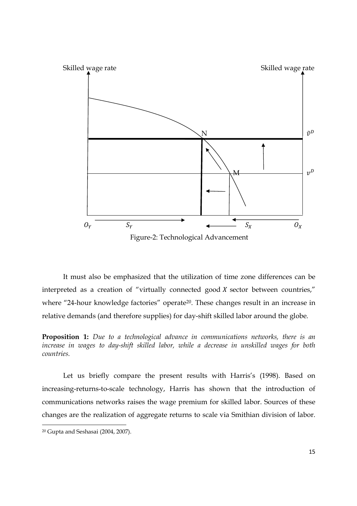

It must also be emphasized that the utilization of time zone differences can be interpreted as a creation of "virtually connected good  $X$  sector between countries," where "24-hour knowledge factories" operate<sup>20</sup>. These changes result in an increase in relative demands (and therefore supplies) for day-shift skilled labor around the globe.

**Proposition 1:** *Due to a technological advance in communications networks, there is an increase in wages to day-shift skilled labor, while a decrease in unskilled wages for both countries.*

Let us briefly compare the present results with Harris's (1998). Based on increasing-returns-to-scale technology, Harris has shown that the introduction of communications networks raises the wage premium for skilled labor. Sources of these changes are the realization of aggregate returns to scale via Smithian division of labor.  $\overline{a}$ 

<sup>20</sup> Gupta and Seshasai (2004, 2007).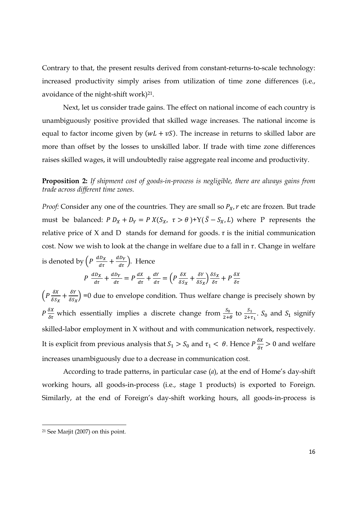Contrary to that, the present results derived from constant-returns-to-scale technology: increased productivity simply arises from utilization of time zone differences (i.e., avoidance of the night-shift work) $21$ .

Next, let us consider trade gains. The effect on national income of each country is unambiguously positive provided that skilled wage increases. The national income is equal to factor income given by ( $wL + vS$ ). The increase in returns to skilled labor are more than offset by the losses to unskilled labor. If trade with time zone differences raises skilled wages, it will undoubtedly raise aggregate real income and productivity.

**Proposition 2:** *If shipment cost of goods-in-process is negligible, there are always gains from trade across different time zones.* 

*Proof:* Consider any one of the countries. They are small so  $P_X$ ,  $r$  etc are frozen. But trade must be balanced:  $P D_X + D_Y = P X(S_X, \tau > \theta) + Y(\bar{S} - S_X, L)$  where P represents the relative price of X and D stands for demand for goods.  $\tau$  is the initial communication cost. Now we wish to look at the change in welfare due to a fall in  $\tau$ . Change in welfare is denoted by  $\left(P \frac{dD_X}{d\tau} + \frac{dD_Y}{d\tau}\right)$ . Hence  $P \frac{dD_X}{d\tau} + \frac{dD_Y}{d\tau}$  $\frac{dy}{dx} = P \frac{dx}{dt} + \frac{dy}{dt} = \left( P \frac{\delta X}{\delta S_X} + \frac{\delta Y}{\delta S_X} \right)$  $\frac{\delta Y}{\delta S_X}$  $\frac{\delta S_X}{\delta \tau}$  +  $P \frac{\delta X}{\delta \tau}$ 

 $\left(P\frac{\delta X}{\delta S_X}+\frac{\delta Y}{\delta S_X}\right)$  $\frac{\delta Y}{\delta S_X}$  =0 due to envelope condition. Thus welfare change is precisely shown by  $P \frac{\delta X}{\delta \tau}$  which essentially implies a discrete change from  $\frac{S_0}{2+\theta}$  to  $\frac{S_1}{2+\tau_1}$ .  $S_0$  and  $S_1$  signify skilled-labor employment in X without and with communication network, respectively. It is explicit from previous analysis that  $S_1 > S_0$  and  $\tau_1 < \theta$ . Hence  $P \frac{\delta X}{\delta \tau} > 0$  and welfare increases unambiguously due to a decrease in communication cost.

According to trade patterns, in particular case (*a*), at the end of Home's day-shift working hours, all goods-in-process (i.e., stage 1 products) is exported to Foreign. Similarly, at the end of Foreign's day-shift working hours, all goods-in-process is

 $\overline{a}$ 

 $21$  See Mariit (2007) on this point.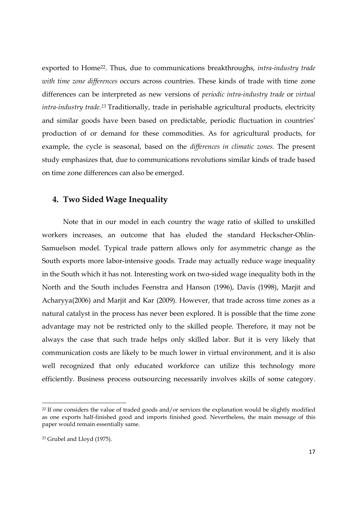exported to Home<sup>22</sup>. Thus, due to communications breakthroughs, *intra-industry trade with time zone differences* occurs across countries. These kinds of trade with time zone differences can be interpreted as new versions of *periodic intra-industry trade* or *virtual intra-industry trade.<sup>23</sup>* Traditionally, trade in perishable agricultural products, electricity and similar goods have been based on predictable, periodic fluctuation in countries' production of or demand for these commodities. As for agricultural products, for example, the cycle is seasonal, based on the *differences in climatic zones.* The present study emphasizes that, due to communications revolutions similar kinds of trade based on time zone differences can also be emerged.

# **4. Two Sided Wage Inequality**

Note that in our model in each country the wage ratio of skilled to unskilled workers increases, an outcome that has eluded the standard Heckscher-Ohlin-Samuelson model. Typical trade pattern allows only for asymmetric change as the South exports more labor-intensive goods. Trade may actually reduce wage inequality in the South which it has not. Interesting work on two-sided wage inequality both in the North and the South includes Feenstra and Hanson (1996), Davis (1998), Marjit and Acharyya(2006) and Marjit and Kar (2009). However, that trade across time zones as a natural catalyst in the process has never been explored. It is possible that the time zone advantage may not be restricted only to the skilled people. Therefore, it may not be always the case that such trade helps only skilled labor. But it is very likely that communication costs are likely to be much lower in virtual environment, and it is also well recognized that only educated workforce can utilize this technology more efficiently. Business process outsourcing necessarily involves skills of some category.

<sup>&</sup>lt;sup>22</sup> If one considers the value of traded goods and/or services the explanation would be slightly modified as one exports half-finished good and imports finished good. Nevertheless, the main message of this paper would remain essentially same.

<sup>23</sup> Grubel and Lloyd (1975).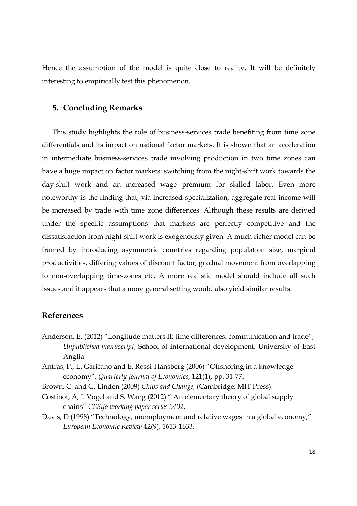Hence the assumption of the model is quite close to reality. It will be definitely interesting to empirically test this phenomenon.

## **5. Concluding Remarks**

This study highlights the role of business-services trade benefiting from time zone differentials and its impact on national factor markets. It is shown that an acceleration in intermediate business-services trade involving production in two time zones can have a huge impact on factor markets: switching from the night-shift work towards the day-shift work and an increased wage premium for skilled labor. Even more noteworthy is the finding that, via increased specialization, aggregate real income will be increased by trade with time zone differences. Although these results are derived under the specific assumptions that markets are perfectly competitive and the dissatisfaction from night-shift work is exogenously given. A much richer model can be framed by introducing asymmetric countries regarding population size, marginal productivities, differing values of discount factor, gradual movement from overlapping to non-overlapping time-zones etc. A more realistic model should include all such issues and it appears that a more general setting would also yield similar results.

# **References**

- Anderson, E. (2012) "Longitude matters II: time differences, communication and trade", *Unpublished manuscript*, School of International development, University of East Anglia.
- Antras, P., L. Garicano and E. Rossi-Hansberg (2006) "Offshoring in a knowledge economy", *Quarterly Journal of Economics*, 121(1), pp. 31-77.
- Brown, C. and G. Linden (2009) *Chips and Change,* (Cambridge: MIT Press).
- Costinot, A, J. Vogel and S. Wang (2012) " An elementary theory of global supply chains" *CESifo working paper series 3402*.
- Davis, D (1998) "Technology, unemployment and relative wages in a global economy," *European Economic Review* 42(9), 1613-1633.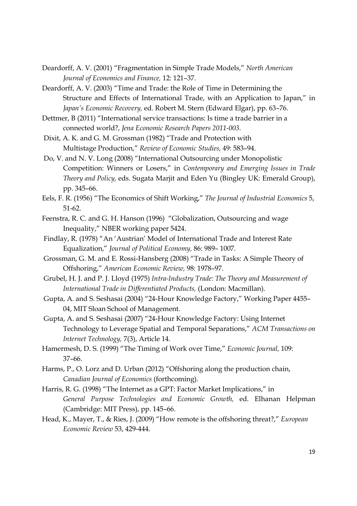- Deardorff, A. V. (2001) "Fragmentation in Simple Trade Models," *North American Journal of Economics and Finance,* 12: 121–37.
- Deardorff, A. V. (2003) "Time and Trade: the Role of Time in Determining the Structure and Effects of International Trade, with an Application to Japan," in *Japan's Economic Recovery,* ed. Robert M. Stern (Edward Elgar), pp. 63–76.
- Dettmer, B (2011) "International service transactions: Is time a trade barrier in a connected world?, *Jena Economic Research Papers 2011-003*.
- Dixit, A. K. and G. M. Grossman (1982) "Trade and Protection with Multistage Production," *Review of Economic Studies,* 49: 583–94.
- Do, V. and N. V. Long (2008) "International Outsourcing under Monopolistic Competition: Winners or Losers," in *Contemporary and Emerging Issues in Trade Theory and Policy,* eds. Sugata Marjit and Eden Yu (Bingley UK: Emerald Group), pp. 345–66.
- Eels, F. R. (1956) "The Economics of Shift Working," *The Journal of Industrial Economics* 5, 51-62.
- Feenstra, R. C. and G. H. Hanson (1996) "Globalization, Outsourcing and wage Inequality," NBER working paper 5424.
- Findlay, R. (1978) "An 'Austrian' Model of International Trade and Interest Rate Equalization," *Journal of Political Economy,* 86: 989– 1007.
- Grossman, G. M. and E. Rossi-Hansberg (2008) "Trade in Tasks: A Simple Theory of Offshoring," *American Economic Review,* 98: 1978–97.
- Grubel, H. J. and P. J. Lloyd (1975) *Intra-Industry Trade: The Theory and Measurement of International Trade in Differentiated Products,* (London: Macmillan).
- Gupta, A. and S. Seshasai (2004) "24-Hour Knowledge Factory," Working Paper 4455– 04, MIT Sloan School of Management.
- Gupta, A. and S. Seshasai (2007) "24-Hour Knowledge Factory: Using Internet Technology to Leverage Spatial and Temporal Separations," *ACM Transactions on Internet Technology,* 7(3), Article 14.
- Hamermesh, D. S. (1999) "The Timing of Work over Time," *Economic Journal,* 109: 37–66.
- Harms, P., O. Lorz and D. Urban (2012) "Offshoring along the production chain, *Canadian Journal of Economics* (forthcoming).
- Harris, R. G. (1998) "The Internet as a GPT: Factor Market Implications," in *General Purpose Technologies and Economic Growth,* ed. Elhanan Helpman (Cambridge: MIT Press), pp. 145–66.
- Head, K., Mayer, T., & Ries, J. (2009) "How remote is the offshoring threat?," *European Economic Review* 53, 429-444.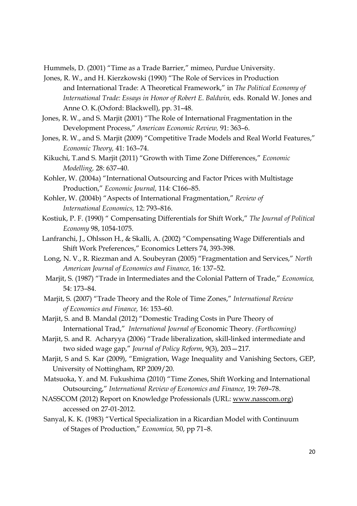Hummels, D. (2001) "Time as a Trade Barrier," mimeo, Purdue University.

- Jones, R. W., and H. Kierzkowski (1990) "The Role of Services in Production and International Trade: A Theoretical Framework," in *The Political Economy of International Trade: Essays in Honor of Robert E. Baldwin,* eds. Ronald W. Jones and Anne O. K.(Oxford: Blackwell), pp. 31–48.
- Jones, R. W., and S. Marjit (2001) "The Role of International Fragmentation in the Development Process," *American Economic Review,* 91: 363–6.
- Jones, R. W., and S. Marjit (2009) "Competitive Trade Models and Real World Features," *Economic Theory,* 41: 163–74.
- Kikuchi, T.and S. Marjit (2011) "Growth with Time Zone Differences," *Economic Modelling,* 28: 637–40.
- Kohler, W. (2004a) "International Outsourcing and Factor Prices with Multistage Production," *Economic Journal,* 114: C166–85.
- Kohler, W. (2004b) "Aspects of International Fragmentation," *Review of International Economics,* 12: 793–816.
- Kostiuk, P. F. (1990) " Compensating Differentials for Shift Work," *The Journal of Political Economy* 98, 1054-1075.
- Lanfranchi, J., Ohlsson H., & Skalli, A. (2002) "Compensating Wage Differentials and Shift Work Preferences," Economics Letters 74, 393-398.
- Long, N. V., R. Riezman and A. Soubeyran (2005) "Fragmentation and Services," *North American Journal of Economics and Finance,* 16: 137–52.
- Marjit, S. (1987) "Trade in Intermediates and the Colonial Pattern of Trade," *Economica,*  54: 173–84.
- Marjit, S. (2007) "Trade Theory and the Role of Time Zones," *International Review of Economics and Finance,* 16: 153–60.
- Marjit, S. and B. Mandal (2012) "Domestic Trading Costs in Pure Theory of International Trad," *International Journal of* Economic Theory. *(Forthcoming)*
- Marjit, S. and R. Acharyya (2006) "Trade liberalization, skill-linked intermediate and two sided wage gap," *Journal of Policy Reform*, 9(3), 203—217.
- Marjit, S and S. Kar (2009), "Emigration, Wage Inequality and Vanishing Sectors, GEP, University of Nottingham, RP 2009/20.
- Matsuoka, Y. and M. Fukushima (2010) "Time Zones, Shift Working and International Outsourcing," *International Review of Economics and Finance,* 19: 769–78.
- NASSCOM (2012) Report on Knowledge Professionals (URL: www.nasscom.org) accessed on 27-01-2012.
- Sanyal, K. K. (1983) "Vertical Specialization in a Ricardian Model with Continuum of Stages of Production," *Economica,* 50, pp 71–8.